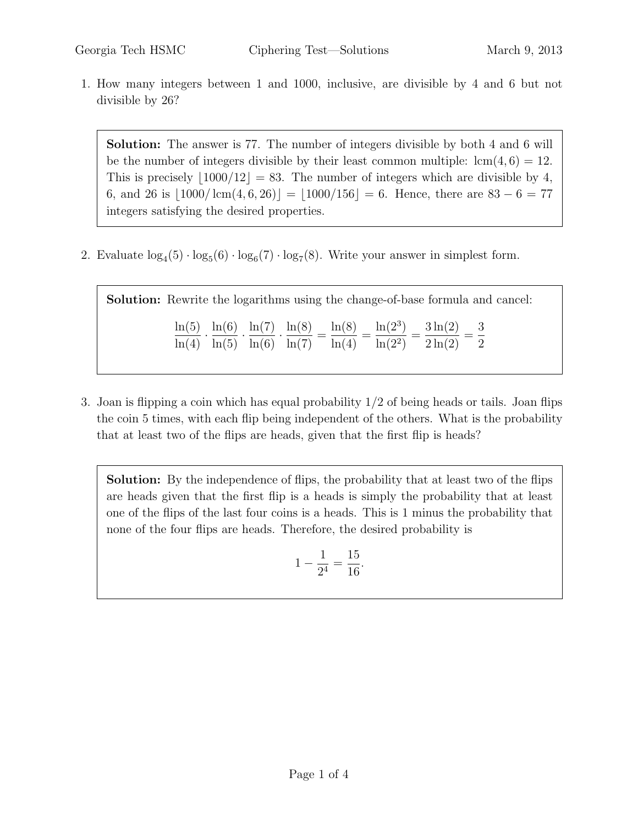1. How many integers between 1 and 1000, inclusive, are divisible by 4 and 6 but not divisible by 26?

Solution: The answer is 77. The number of integers divisible by both 4 and 6 will be the number of integers divisible by their least common multiple:  $lcm(4, 6) = 12$ . This is precisely  $|1000/12| = 83$ . The number of integers which are divisible by 4, 6, and 26 is  $\vert 1000/\mathrm{lcm}(4, 6, 26)\vert = \vert 1000/156\vert = 6$ . Hence, there are 83 – 6 = 77 integers satisfying the desired properties.

2. Evaluate  $\log_4(5) \cdot \log_5(6) \cdot \log_6(7) \cdot \log_7(8)$ . Write your answer in simplest form.

Solution: Rewrite the logarithms using the change-of-base formula and cancel:  $\frac{\ln(5)}{\ln(4)} \cdot \frac{\ln(6)}{\ln(5)} \cdot \frac{\ln(7)}{\ln(6)} \cdot \frac{\ln(8)}{\ln(7)}$  $\frac{\text{m}(0)}{\text{ln}(7)} =$  $ln(8)$  $\frac{\ln(0)}{\ln(4)} =$  $ln(2^3)$  $ln(2^2)$ =  $3\ln(2)$  $\frac{2 \ln(2)}{2 \ln(2)}$  = 3 2

3. Joan is flipping a coin which has equal probability  $1/2$  of being heads or tails. Joan flips the coin 5 times, with each flip being independent of the others. What is the probability that at least two of the flips are heads, given that the first flip is heads?

Solution: By the independence of flips, the probability that at least two of the flips are heads given that the first flip is a heads is simply the probability that at least one of the flips of the last four coins is a heads. This is 1 minus the probability that none of the four flips are heads. Therefore, the desired probability is

$$
1 - \frac{1}{2^4} = \frac{15}{16}.
$$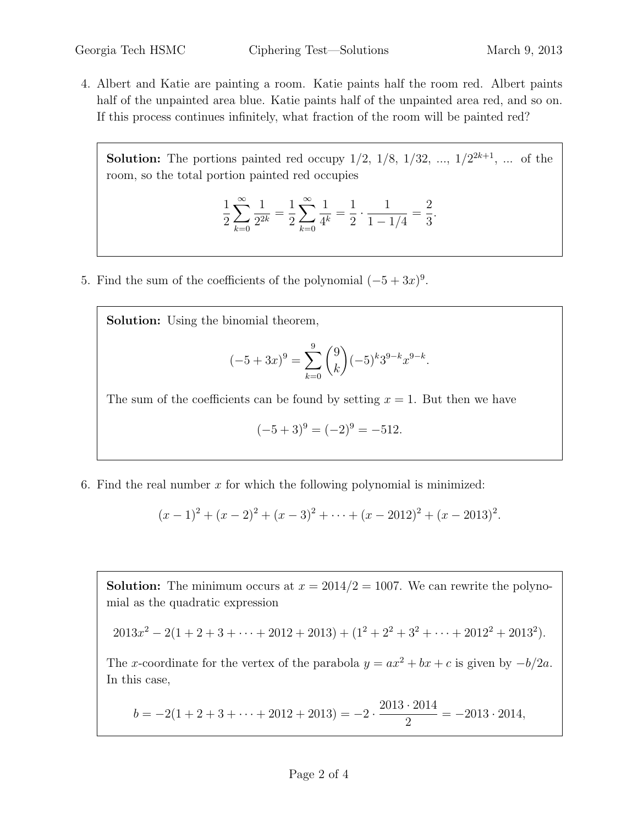4. Albert and Katie are painting a room. Katie paints half the room red. Albert paints half of the unpainted area blue. Katie paints half of the unpainted area red, and so on. If this process continues infinitely, what fraction of the room will be painted red?

**Solution:** The portions painted red occupy  $1/2$ ,  $1/8$ ,  $1/32$ , ...,  $1/2^{2k+1}$ , ... of the room, so the total portion painted red occupies

$$
\frac{1}{2} \sum_{k=0}^{\infty} \frac{1}{2^{2k}} = \frac{1}{2} \sum_{k=0}^{\infty} \frac{1}{4^k} = \frac{1}{2} \cdot \frac{1}{1 - 1/4} = \frac{2}{3}.
$$

5. Find the sum of the coefficients of the polynomial  $(-5+3x)^9$ .

Solution: Using the binomial theorem,

$$
(-5+3x)^9 = \sum_{k=0}^{9} {9 \choose k} (-5)^k 3^{9-k} x^{9-k}.
$$

The sum of the coefficients can be found by setting  $x = 1$ . But then we have

$$
(-5+3)^9 = (-2)^9 = -512.
$$

6. Find the real number  $x$  for which the following polynomial is minimized:

$$
(x-1)2 + (x-2)2 + (x-3)2 + \dots + (x-2012)2 + (x-2013)2.
$$

**Solution:** The minimum occurs at  $x = 2014/2 = 1007$ . We can rewrite the polynomial as the quadratic expression

$$
2013x^2 - 2(1 + 2 + 3 + \dots + 2012 + 2013) + (1^2 + 2^2 + 3^2 + \dots + 2012^2 + 2013^2).
$$

The x-coordinate for the vertex of the parabola  $y = ax^2 + bx + c$  is given by  $-b/2a$ . In this case,

$$
b = -2(1 + 2 + 3 + \dots + 2012 + 2013) = -2 \cdot \frac{2013 \cdot 2014}{2} = -2013 \cdot 2014,
$$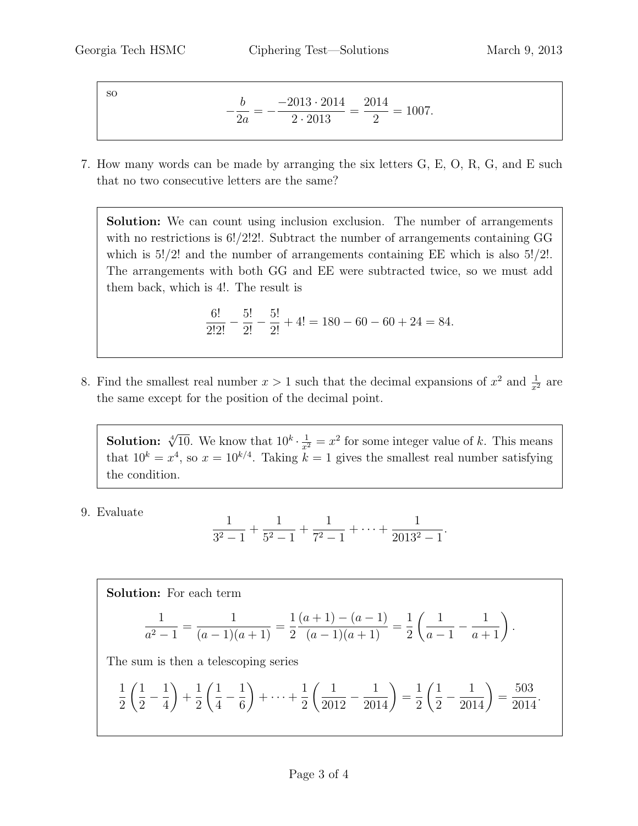so

$$
-\frac{b}{2a} = -\frac{-2013 \cdot 2014}{2 \cdot 2013} = \frac{2014}{2} = 1007.
$$

7. How many words can be made by arranging the six letters G, E, O, R, G, and E such that no two consecutive letters are the same?

Solution: We can count using inclusion exclusion. The number of arrangements with no restrictions is  $6!/2!2!$ . Subtract the number of arrangements containing GG which is  $5!/2!$  and the number of arrangements containing EE which is also  $5!/2!$ . The arrangements with both GG and EE were subtracted twice, so we must add them back, which is 4!. The result is

$$
\frac{6!}{2!2!} - \frac{5!}{2!} - \frac{5!}{2!} + 4! = 180 - 60 - 60 + 24 = 84.
$$

8. Find the smallest real number  $x > 1$  such that the decimal expansions of  $x^2$  and  $\frac{1}{x^2}$  are the same except for the position of the decimal point.

**Solution:**  $\sqrt[4]{10}$ . We know that  $10^k \cdot \frac{1}{x^2} = x^2$  for some integer value of k. This means that  $10^k = x^4$ , so  $x = 10^{k/4}$ . Taking  $k = 1$  gives the smallest real number satisfying the condition.

9. Evaluate <sup>1</sup>

$$
\frac{1}{3^2 - 1} + \frac{1}{5^2 - 1} + \frac{1}{7^2 - 1} + \dots + \frac{1}{2013^2 - 1}.
$$

Solution: For each term

$$
\frac{1}{a^2 - 1} = \frac{1}{(a - 1)(a + 1)} = \frac{1}{2} \frac{(a + 1) - (a - 1)}{(a - 1)(a + 1)} = \frac{1}{2} \left( \frac{1}{a - 1} - \frac{1}{a + 1} \right).
$$

The sum is then a telescoping series

$$
\frac{1}{2}\left(\frac{1}{2}-\frac{1}{4}\right)+\frac{1}{2}\left(\frac{1}{4}-\frac{1}{6}\right)+\cdots+\frac{1}{2}\left(\frac{1}{2012}-\frac{1}{2014}\right)=\frac{1}{2}\left(\frac{1}{2}-\frac{1}{2014}\right)=\frac{503}{2014}.
$$